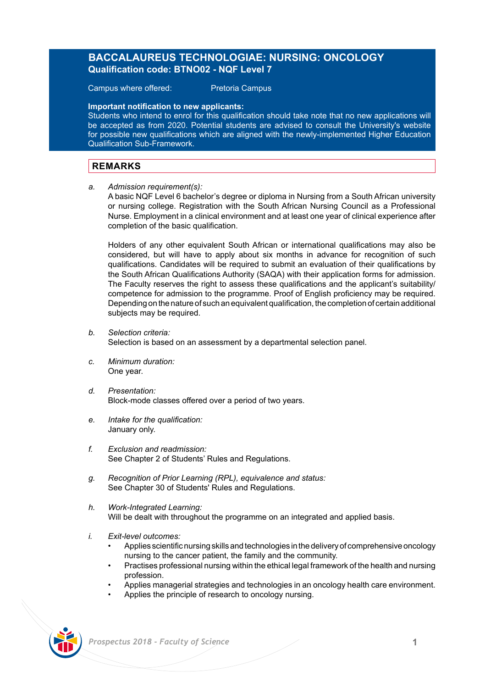# **BACCALAUREUS TECHNOLOGIAE: NURSING: ONCOLOGY Qualification code: BTNO02 - NQF Level 7**

Campus where offered: Pretoria Campus

**Important notification to new applicants:** 

Students who intend to enrol for this qualification should take note that no new applications will be accepted as from 2020. Potential students are advised to consult the University's website for possible new qualifications which are aligned with the newly-implemented Higher Education Qualification Sub-Framework.

# **REMARKS**

*a. Admission requirement(s):* 

A basic NQF Level 6 bachelor's degree or diploma in Nursing from a South African university or nursing college. Registration with the South African Nursing Council as a Professional Nurse. Employment in a clinical environment and at least one year of clinical experience after completion of the basic qualification.

Holders of any other equivalent South African or international qualifications may also be considered, but will have to apply about six months in advance for recognition of such qualifications. Candidates will be required to submit an evaluation of their qualifications by the South African Qualifications Authority (SAQA) with their application forms for admission. The Faculty reserves the right to assess these qualifications and the applicant's suitability/ competence for admission to the programme. Proof of English proficiency may be required. Depending on the nature of such an equivalent qualification, the completion of certain additional subjects may be required.

- *b. Selection criteria:* Selection is based on an assessment by a departmental selection panel.
- *c. Minimum duration:* One year.
- *d. Presentation:*  Block-mode classes offered over a period of two years.
- *e. Intake for the qualification:* January only.
- *f. Exclusion and readmission:* See Chapter 2 of Students' Rules and Regulations.
- *g. Recognition of Prior Learning (RPL), equivalence and status:* See Chapter 30 of Students' Rules and Regulations.
- *h. Work-Integrated Learning:* Will be dealt with throughout the programme on an integrated and applied basis.
- *i. Exit-level outcomes:*
	- Applies scientific nursing skills and technologies in the delivery of comprehensive oncology nursing to the cancer patient, the family and the community.
	- Practises professional nursing within the ethical legal framework of the health and nursing profession.
	- Applies managerial strategies and technologies in an oncology health care environment.
	- Applies the principle of research to oncology nursing.

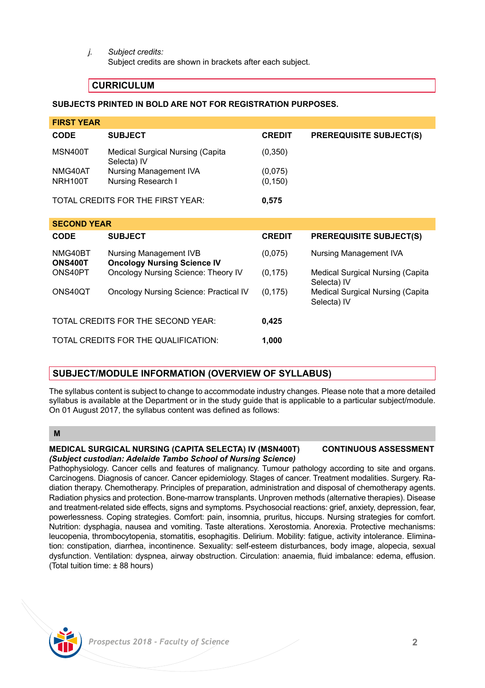*j. Subject credits:*

Subject credits are shown in brackets after each subject.

# **CURRICULUM**

## **SUBJECTS PRINTED IN BOLD ARE NOT FOR REGISTRATION PURPOSES.**

| <b>FIRST YEAR</b>                 |                                                 |               |                                |  |
|-----------------------------------|-------------------------------------------------|---------------|--------------------------------|--|
| <b>CODE</b>                       | <b>SUBJECT</b>                                  | <b>CREDIT</b> | <b>PREREQUISITE SUBJECT(S)</b> |  |
| MSN400T                           | Medical Surgical Nursing (Capita<br>Selecta) IV | (0, 350)      |                                |  |
| NMG40AT                           | Nursing Management IVA                          | (0,075)       |                                |  |
| NRH100T                           | Nursing Research I                              | (0, 150)      |                                |  |
| TOTAL CREDITS FOR THE FIRST YEAR: |                                                 | 0.575         |                                |  |
| <b>SECOND YEAR</b>                |                                                 |               |                                |  |

| -----------                          |                                                              |               |                                                 |  |  |
|--------------------------------------|--------------------------------------------------------------|---------------|-------------------------------------------------|--|--|
| <b>CODE</b>                          | <b>SUBJECT</b>                                               | <b>CREDIT</b> | <b>PREREQUISITE SUBJECT(S)</b>                  |  |  |
| NMG40BT<br><b>ONS400T</b>            | Nursing Management IVB<br><b>Oncology Nursing Science IV</b> | (0,075)       | Nursing Management IVA                          |  |  |
| ONS40PT                              | Oncology Nursing Science: Theory IV                          | (0, 175)      | Medical Surgical Nursing (Capita<br>Selecta) IV |  |  |
| ONS40QT                              | Oncology Nursing Science: Practical IV                       | (0, 175)      | Medical Surgical Nursing (Capita<br>Selecta) IV |  |  |
| TOTAL CREDITS FOR THE SECOND YEAR:   |                                                              | 0,425         |                                                 |  |  |
| TOTAL CREDITS FOR THE QUALIFICATION: |                                                              | 1.000         |                                                 |  |  |

# **SUBJECT/MODULE INFORMATION (OVERVIEW OF SYLLABUS)**

The syllabus content is subject to change to accommodate industry changes. Please note that a more detailed syllabus is available at the Department or in the study guide that is applicable to a particular subject/module. On 01 August 2017, the syllabus content was defined as follows:

## **M**

### **MEDICAL SURGICAL NURSING (CAPITA SELECTA) IV (MSN400T) CONTINUOUS ASSESSMENT** *(Subject custodian: Adelaide Tambo School of Nursing Science)*

Pathophysiology. Cancer cells and features of malignancy. Tumour pathology according to site and organs. Carcinogens. Diagnosis of cancer. Cancer epidemiology. Stages of cancer. Treatment modalities. Surgery. Radiation therapy. Chemotherapy. Principles of preparation, administration and disposal of chemotherapy agents. Radiation physics and protection. Bone-marrow transplants. Unproven methods (alternative therapies). Disease and treatment-related side effects, signs and symptoms. Psychosocial reactions: grief, anxiety, depression, fear, powerlessness. Coping strategies. Comfort: pain, insomnia, pruritus, hiccups. Nursing strategies for comfort. Nutrition: dysphagia, nausea and vomiting. Taste alterations. Xerostomia. Anorexia. Protective mechanisms: leucopenia, thrombocytopenia, stomatitis, esophagitis. Delirium. Mobility: fatigue, activity intolerance. Elimination: constipation, diarrhea, incontinence. Sexuality: self-esteem disturbances, body image, alopecia, sexual dysfunction. Ventilation: dyspnea, airway obstruction. Circulation: anaemia, fluid imbalance: edema, effusion. (Total tuition time: ± 88 hours)